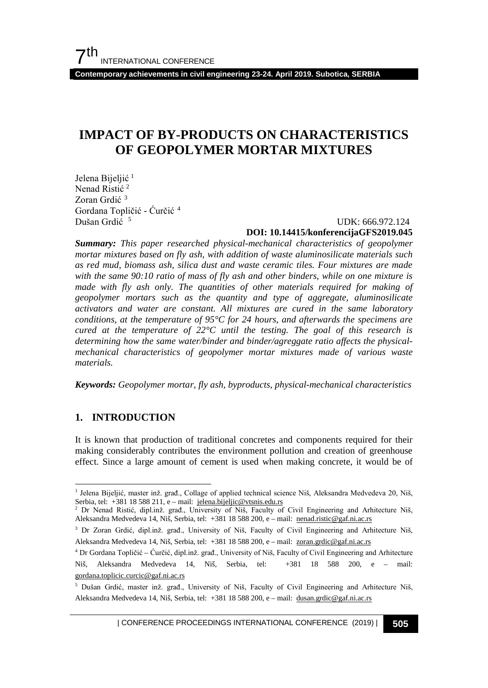**Contemporary achievements in civil engineering 23-24. April 2019. Subotica, SERBIA**

# **IMPACT OF BY-PRODUCTS ON CHARACTERISTICS OF GEOPOLYMER MORTAR MIXTURES**

Jelena Bijeljić<sup>[1](#page-0-0)</sup> Nenad Ristić<sup>[2](#page-0-1)</sup> Zoran Grdić [3](#page-0-2) Gordana Topličić - Ćurčić [4](#page-0-3) Dušan Grdić<sup>[5](#page-0-4)</sup>

#### UDK: 666.972.124 **DOI: 10.14415/konferencijaGFS2019.045**

*Summary: This paper researched physical-mechanical characteristics of geopolymer mortar mixtures based on fly ash, with addition of waste aluminosilicate materials such as red mud, biomass ash, silica dust and waste ceramic tiles. Four mixtures are made with the same 90:10 ratio of mass of fly ash and other binders, while on one mixture is made with fly ash only. The quantities of other materials required for making of geopolymer mortars such as the quantity and type of aggregate, aluminosilicate activators and water are constant. All mixtures are cured in the same laboratory conditions, at the temperature of 95°C for 24 hours, and afterwards the specimens are cured at the temperature of 22°C until the testing. The goal of this research is determining how the same water/binder and binder/agreggate ratio affects the physicalmechanical characteristics of geopolymer mortar mixtures made of various waste materials.*

*Keywords: Geopolymer mortar, fly ash, byproducts, physical-mechanical characteristics* 

## **1. INTRODUCTION**

It is known that production of traditional concretes and components required for their making considerably contributes the environment pollution and creation of greenhouse effect. Since a large amount of cement is used when making concrete, it would be of

<span id="page-0-0"></span><sup>&</sup>lt;sup>1</sup> Jelena Bijeljić, master inž. građ., Collage of applied technical science Niš, Aleksandra Medvedeva 20, Niš, Serbia, tel: +381 18 588 211, e – mail: [jelena.bijeljic@vtsnis.edu.rs](mailto:jelena.bijeljic@vtsnis.edu.rs)

<span id="page-0-1"></span><sup>&</sup>lt;sup>2</sup> Dr Nenad Ristić, dipl.inž. građ., University of Niš, Faculty of Civil Engineering and Arhitecture Niš, Aleksandra Medvedeva 14, Niš, Serbia, tel: +381 18 588 200, e – mail: [nenad.ristic@gaf.ni.ac.rs](mailto:nenad.ristic@gaf.ni.ac.rs)

<span id="page-0-2"></span><sup>&</sup>lt;sup>3</sup> Dr Zoran Grdić, dipl.inž. građ., University of Niš, Faculty of Civil Engineering and Arhitecture Niš, Aleksandra Medvedeva 14, Niš, Serbia, tel: +381 18 588 200, e – mail: [zoran.grdic@gaf.ni.ac.rs](mailto:zoran.grdic@gaf.ni.ac.rs)

<span id="page-0-3"></span><sup>4</sup> Dr Gordana Topličić – Ćurčić, dipl.inž. građ., University of Niš, Faculty of Civil Engineering and Arhitecture Niš, Aleksandra Medvedeva 14, Niš, Serbia, tel: +381 18 588 200, e – mail: [gordana.toplicic.curcic@gaf.ni.ac.rs](mailto:gordana.toplicic.curcic@gaf.ni.ac.rs)

<span id="page-0-4"></span><sup>5</sup> Dušan Grdić, master inž. građ., University of Niš, Faculty of Civil Engineering and Arhitecture Niš, Aleksandra Medvedeva 14, Niš, Serbia, tel: +381 18 588 200, e – mail: [dusan.grdic@gaf.ni.ac.rs](mailto:dusan.grdic@gaf.ni.ac.rs)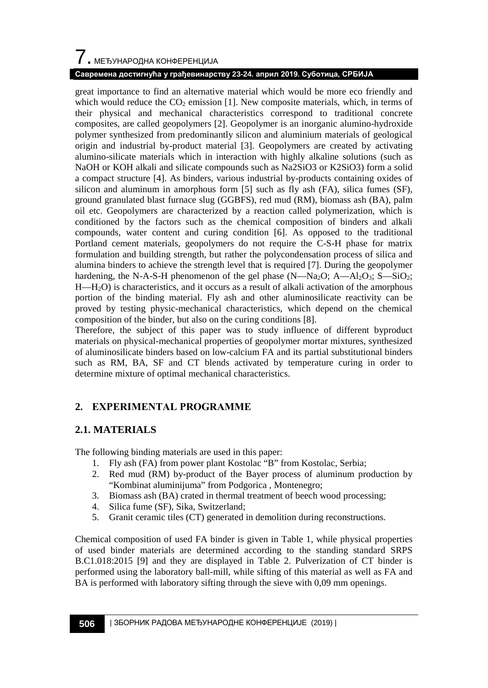# $\overline{\phantom{a}}$ . МЕЂУНАРОДНА КОНФЕРЕНЦИЈА

### **Савремена достигнућа у грађевинарству 23-24. април 2019. Суботица, СРБИЈА**

great importance to find an alternative material which would be more eco friendly and which would reduce the  $CO<sub>2</sub>$  emission [1]. New composite materials, which, in terms of their physical and mechanical characteristics correspond to traditional concrete composites, are called geopolymers [2]. Geopolymer is an inorganic alumino-hydroxide polymer synthesized from predominantly silicon and aluminium materials of geological origin and industrial by-product material [3]. Geopolymers are created by activating alumino-silicate materials which in interaction with highly alkaline solutions (such as NaOH or KOH alkali and silicate compounds such as Na2SiO3 or K2SiO3) form a solid a compact structure [4]. As binders, various industrial by-products containing oxides of silicon and aluminum in amorphous form [5] such as fly ash (FA), silica fumes (SF), ground granulated blast furnace slug (GGBFS), red mud (RM), biomass ash (BA), palm oil etc. Geopolymers are characterized by a reaction called polymerization, which is conditioned by the factors such as the chemical composition of binders and alkali compounds, water content and curing condition [6]. As opposed to the traditional Portland cement materials, geopolymers do not require the C-S-H phase for matrix formulation and building strength, but rather the polycondensation process of silica and alumina binders to achieve the strength level that is required [7]. During the geopolymer hardening, the N-A-S-H phenomenon of the gel phase  $(N-Ma<sub>2</sub>O; A-Al<sub>2</sub>O<sub>3</sub>; S-SiO<sub>2</sub>;$ H—H2O) is characteristics, and it occurs as a result of alkali activation of the amorphous portion of the binding material. Fly ash and other aluminosilicate reactivity can be proved by testing physic-mechanical characteristics, which depend on the chemical composition of the binder, but also on the curing conditions [8].

Therefore, the subject of this paper was to study influence of different byproduct materials on physical-mechanical properties of geopolymer mortar mixtures, synthesized of aluminosilicate binders based on low-calcium FA and its partial substitutional binders such as RM, BA, SF and CT blends activated by temperature curing in order to determine mixture of optimal mechanical characteristics.

## **2. ЕXPERIMENTAL PROGRAMME**

## **2.1. MATERIALS**

The following binding materials are used in this paper:

- 1. Fly ash (FA) from power plant Kostolac "B" from Kostolac, Serbia;
- 2. Red mud (RM) by-product of the Bayer process of aluminum production by "Kombinat aluminijuma" from Podgorica , Montenegro;
- 3. Biomass ash (BA) crated in thermal treatment of beech wood processing;
- 4. Silica fume (SF), Sika, Switzerland;
- 5. Granit ceramic tiles (CT) generated in demolition during reconstructions.

Chemical composition of used FA binder is given in Table 1, while physical properties of used binder materials are determined according to the standing standard SRPS B.C1.018:2015 [9] and they are displayed in Table 2. Pulverization of CT binder is performed using the laboratory ball-mill, while sifting of this material as well as FA and BA is performed with laboratory sifting through the sieve with 0,09 mm openings.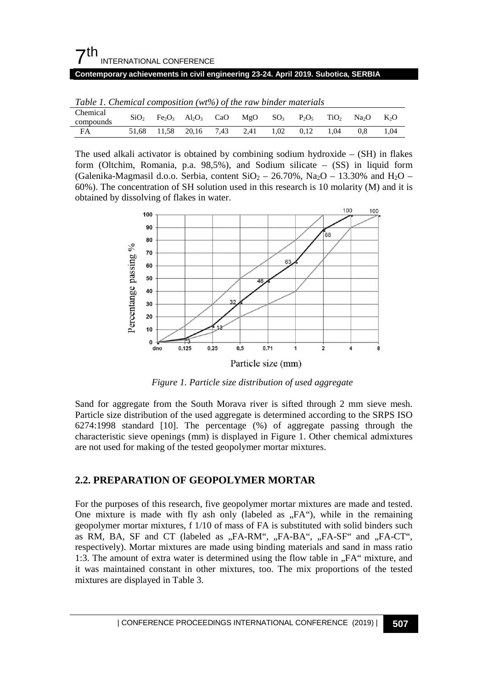| 7 <sup>th</sup><br>INTERNATIONAL CONFERENCE                                        |  |
|------------------------------------------------------------------------------------|--|
| Contemporary achievements in civil engineering 23-24. April 2019. Subotica, SERBIA |  |
|                                                                                    |  |

| Table 1. Chemical composition ( $wt\%$ ) of the raw binder materials |                  |  |                             |  |                                                                                                                                                        |           |  |      |     |        |
|----------------------------------------------------------------------|------------------|--|-----------------------------|--|--------------------------------------------------------------------------------------------------------------------------------------------------------|-----------|--|------|-----|--------|
| Chemical                                                             | SiO <sub>2</sub> |  |                             |  | Fe <sub>2</sub> O <sub>3</sub> Al <sub>2</sub> O <sub>3</sub> CaO MgO SO <sub>3</sub> P <sub>2</sub> O <sub>5</sub> TiO <sub>2</sub> Na <sub>2</sub> O |           |  |      |     | $K_2O$ |
| compounds                                                            |                  |  |                             |  |                                                                                                                                                        |           |  |      |     |        |
| FA                                                                   |                  |  | 51.68 11.58 20.16 7.43 2.41 |  |                                                                                                                                                        | 1.02 0.12 |  | 1.04 | 0.8 | 1.04   |

The used alkali activator is obtained by combining sodium hydroxide  $-$  (SH) in flakes form (Oltchim, Romania, p.a.  $98,5\%$ ), and Sodium silicate – (SS) in liquid form (Galenika-Magmasil d.o.o. Serbia, content  $SiO<sub>2</sub> - 26.70\%$ , Na<sub>2</sub>O – 13.30% and H<sub>2</sub>O – 60%). The concentration of SH solution used in this research is 10 molarity (M) and it is obtained by dissolving of flakes in water.



*Figure 1. Particle size distribution of used aggregate* 

Sand for aggregate from the South Morava river is sifted through 2 mm sieve mesh. Particle size distribution of the used aggregate is determined according to the SRPS ISO 6274:1998 standard [10]. The percentage (%) of aggregate passing through the characteristic sieve openings (mm) is displayed in Figure 1. Other chemical admixtures are not used for making of the tested geopolymer mortar mixtures.

## **2.2. PREPARATION OF GEOPOLYMER MORTAR**

For the purposes of this research, five geopolymer mortar mixtures are made and tested. One mixture is made with fly ash only (labeled as  $,FA$ ), while in the remaining geopolymer mortar mixtures, f 1/10 of mass of FA is substituted with solid binders such as RM, BA, SF and CT (labeled as "FA-RM", "FA-BA", "FA-SF" and "FA-CT", respectively). Mortar mixtures are made using binding materials and sand in mass ratio 1:3. The amount of extra water is determined using the flow table in "FA" mixture, and it was maintained constant in other mixtures, too. The mix proportions of the tested mixtures are displayed in Table 3.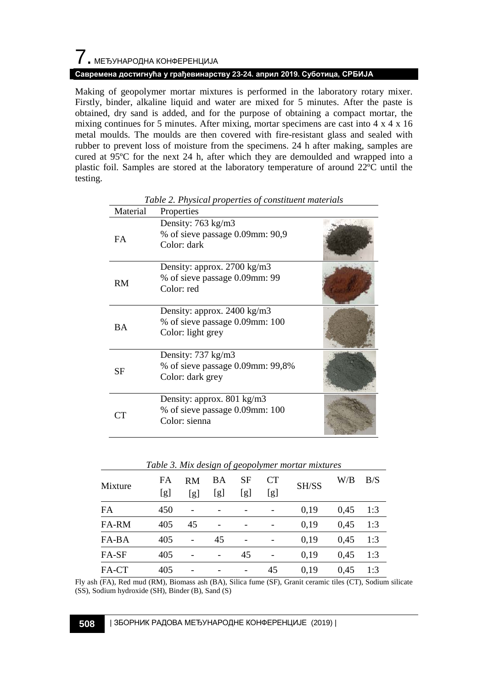# $\overline{\phantom{a}}$ . МЕЂУНАРОДНА КОНФЕРЕНЦИЈА

### **Савремена достигнућа у грађевинарству 23-24. април 2019. Суботица, СРБИЈА**

Making of geopolymer mortar mixtures is performed in the laboratory rotary mixer. Firstly, binder, alkaline liquid and water are mixed for 5 minutes. After the paste is obtained, dry sand is added, and for the purpose of obtaining a compact mortar, the mixing continues for 5 minutes. After mixing, mortar specimens are cast into  $4 \times 4 \times 16$ metal moulds. The moulds are then covered with fire-resistant glass and sealed with rubber to prevent loss of moisture from the specimens. 24 h after making, samples are cured at 95ºC for the next 24 h, after which they are demoulded and wrapped into a plastic foil. Samples are stored at the laboratory temperature of around 22ºC until the testing.

| Material  | Properties                                                                            |  |
|-----------|---------------------------------------------------------------------------------------|--|
| <b>FA</b> | Density: 763 kg/m3<br>% of sieve passage 0.09mm: 90,9<br>Color: dark                  |  |
| <b>RM</b> | Density: approx. 2700 kg/m3<br>% of sieve passage 0.09mm: 99<br>Color: red            |  |
| <b>BA</b> | Density: approx. 2400 kg/m3<br>% of sieve passage 0.09mm: 100<br>Color: light grey    |  |
| SF        | Density: $737 \text{ kg/m}$ 3<br>% of sieve passage 0.09mm: 99,8%<br>Color: dark grey |  |
| CТ        | Density: approx. 801 kg/m3<br>% of sieve passage 0.09mm: 100<br>Color: sienna         |  |

*Table 2. Physical properties of constituent materials*

| Table 5. Mix design of geopolymer mortur mixtures |           |                  |           |           |                  |       |      |     |
|---------------------------------------------------|-----------|------------------|-----------|-----------|------------------|-------|------|-----|
| Mixture                                           | FA<br>[g] | <b>RM</b><br>[g] | BA<br>[g] | SF<br>[g] | <b>CT</b><br>[g] | SH/SS | W/B  | B/S |
| FA                                                | 450       |                  |           |           |                  | 0.19  | 0.45 | 1:3 |
| FA-RM                                             | 405       | 45               |           |           |                  | 0.19  | 0.45 | 1:3 |
| FA-BA                                             | 405       |                  | 45        |           |                  | 0.19  | 0.45 | 1:3 |
| FA-SF                                             | 405       |                  |           | 45        |                  | 0.19  | 0.45 | 1:3 |
| FA-CT                                             | 405       |                  |           |           | 45               | 0,19  | 0.45 | 1:3 |

*Table 3. Mix design of geopolymer mortar mixtures*

Fly ash (FA), Red mud (RM), Biomass ash (BA), Silica fume (SF), Granit ceramic tiles (CT), Sodium silicate (SS), Sodium hydroxide (SH), Binder (B), Sand (S)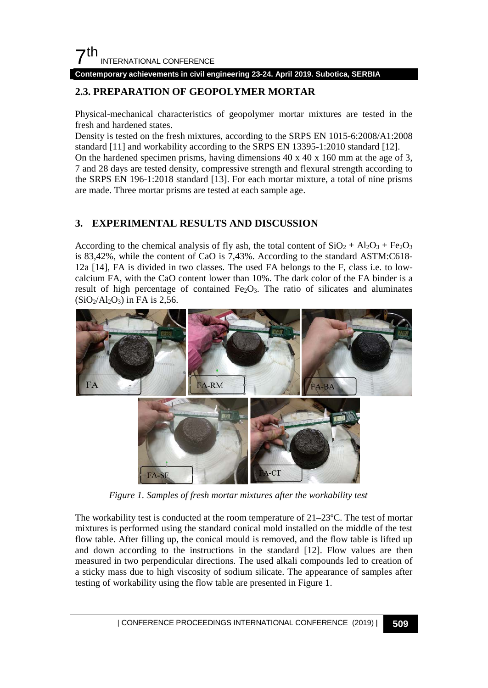

**Contemporary achievements in civil engineering 23-24. April 2019. Subotica, SERBIA**

# **2.3. PREPARATION OF GEOPOLYMER MORTAR**

Physical-mechanical characteristics of geopolymer mortar mixtures are tested in the fresh and hardened states.

Density is tested on the fresh mixtures, according to the SRPS EN 1015-6:2008/A1:2008 standard [11] and workability according to the SRPS EN 13395-1:2010 standard [12].

On the hardened specimen prisms, having dimensions  $40 \times 40 \times 160$  mm at the age of 3, 7 and 28 days are tested density, compressive strength and flexural strength according to the SRPS EN 196-1:2018 standard [13]. For each mortar mixture, a total of nine prisms are made. Three mortar prisms are tested at each sample age.

## **3. EXPERIMENTAL RESULTS AND DISCUSSION**

According to the chemical analysis of fly ash, the total content of  $SiO_2 + Al_2O_3 + Fe_2O_3$ is 83,42%, while the content of CaO is 7,43%. According to the standard ASTM:C618- 12a [14], FA is divided in two classes. The used FA belongs to the F, class i.e. to lowcalcium FA, with the CaO content lower than 10%. The dark color of the FA binder is a result of high percentage of contained  $Fe<sub>2</sub>O<sub>3</sub>$ . The ratio of silicates and aluminates  $(SiO_2/Al_2O_3)$  in FA is 2,56.



*Figure 1. Samples of fresh mortar mixtures after the workability test*

The workability test is conducted at the room temperature of 21–23ºC. The test of mortar mixtures is performed using the standard conical mold installed on the middle of the test flow table. After filling up, the conical mould is removed, and the flow table is lifted up and down according to the instructions in the standard [12]. Flow values are then measured in two perpendicular directions. The used alkali compounds led to creation of a sticky mass due to high viscosity of sodium silicate. The appearance of samples after testing of workability using the flow table are presented in Figure 1.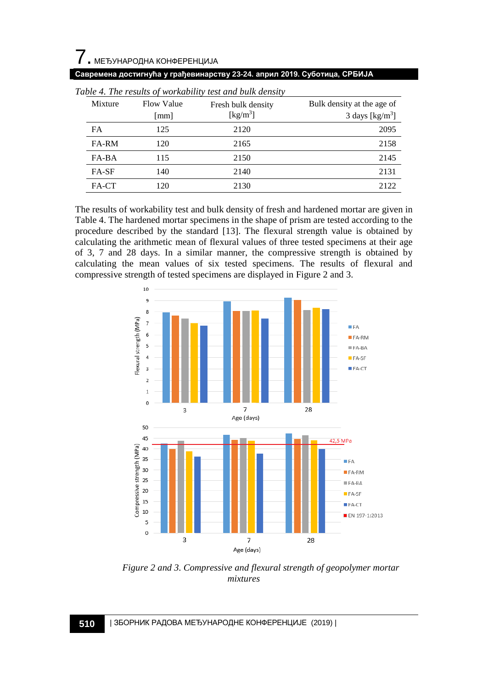# $\overline{\phantom{a}}$ . МЕЂУНАРОДНА КОНФЕРЕНЦИЈА **Савремена достигнућа у грађевинарству 23-24. април 2019. Суботица, СРБИЈА**

|                                     | Table 4. The results of workability test and bulk density |     |                                                      |                                                          |  |  |  |  |
|-------------------------------------|-----------------------------------------------------------|-----|------------------------------------------------------|----------------------------------------------------------|--|--|--|--|
| Mixture<br><b>Flow Value</b><br> mm |                                                           |     | Fresh bulk density<br>$\left[\mathrm{kg/m^3}\right]$ | Bulk density at the age of<br>3 days [ $\text{kg/m}^3$ ] |  |  |  |  |
|                                     |                                                           |     |                                                      |                                                          |  |  |  |  |
|                                     | <b>FA</b>                                                 | 125 | 2120                                                 | 2095                                                     |  |  |  |  |
|                                     | FA-RM                                                     | 120 | 2165                                                 | 2158                                                     |  |  |  |  |
|                                     | FA-BA                                                     | 115 | 2150                                                 | 2145                                                     |  |  |  |  |
|                                     | FA-SF                                                     | 140 | 2140                                                 | 2131                                                     |  |  |  |  |
|                                     | FA-CT                                                     | 120 | 2130                                                 | 2122                                                     |  |  |  |  |

|  | Table A. The results of workability test and bulk density |  |
|--|-----------------------------------------------------------|--|

The results of workability test and bulk density of fresh and hardened mortar are given in Table 4. The hardened mortar specimens in the shape of prism are tested according to the procedure described by the standard [13]. The flexural strength value is obtained by calculating the arithmetic mean of flexural values of three tested specimens at their age of 3, 7 and 28 days. In a similar manner, the compressive strength is obtained by calculating the mean values of six tested specimens. The results of flexural and compressive strength of tested specimens are displayed in Figure 2 and 3.



*Figure 2 and 3. Compressive and flexural strength of geopolymer mortar mixtures*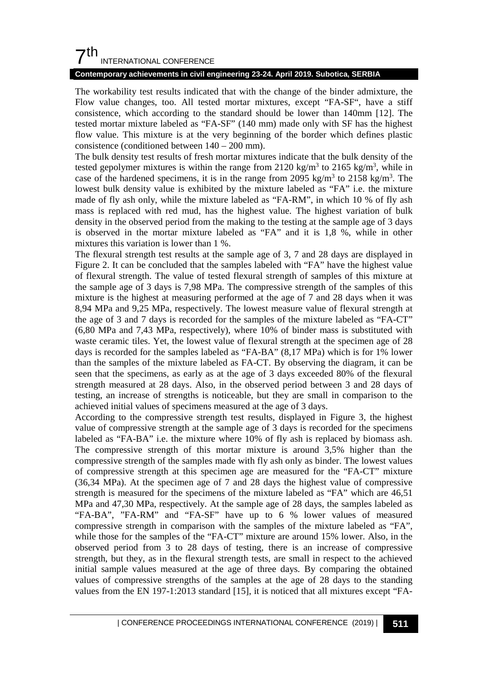## $7th$ INTERNATIONAL CONFERENCE

#### **Contemporary achievements in civil engineering 23-24. April 2019. Subotica, SERBIA**

The workability test results indicated that with the change of the binder admixture, the Flow value changes, too. All tested mortar mixtures, except "FA-SF", have a stiff consistence, which according to the standard should be lower than 140mm [12]. The tested mortar mixture labeled as "FA-SF" (140 mm) made only with SF has the highest flow value. This mixture is at the very beginning of the border which defines plastic consistence (conditioned between 140 – 200 mm).

The bulk density test results of fresh mortar mixtures indicate that the bulk density of the tested gepolymer mixtures is within the range from 2120 kg/m<sup>3</sup> to 2165 kg/m<sup>3</sup>, while in case of the hardened specimens, it is in the range from 2095 kg/m<sup>3</sup> to 2158 kg/m<sup>3</sup>. The lowest bulk density value is exhibited by the mixture labeled as "FA" i.e. the mixture made of fly ash only, while the mixture labeled as "FA-RM", in which 10 % of fly ash mass is replaced with red mud, has the highest value. The highest variation of bulk density in the observed period from the making to the testing at the sample age of 3 days is observed in the mortar mixture labeled as "FA" and it is 1,8 %, while in other mixtures this variation is lower than 1 %.

The flexural strength test results at the sample age of 3, 7 and 28 days are displayed in Figure 2. It can be concluded that the samples labeled with "FA" have the highest value of flexural strength. The value of tested flexural strength of samples of this mixture at the sample age of 3 days is 7,98 MPa. The compressive strength of the samples of this mixture is the highest at measuring performed at the age of 7 and 28 days when it was 8,94 MPa and 9,25 MPa, respectively. The lowest measure value of flexural strength at the age of 3 and 7 days is recorded for the samples of the mixture labeled as "FA-CT" (6,80 MPa and 7,43 MPa, respectively), where 10% of binder mass is substituted with waste ceramic tiles. Yet, the lowest value of flexural strength at the specimen age of 28 days is recorded for the samples labeled as "FA-BA" (8,17 MPa) which is for 1% lower than the samples of the mixture labeled as FA-CT. By observing the diagram, it can be seen that the specimens, as early as at the age of 3 days exceeded 80% of the flexural strength measured at 28 days. Also, in the observed period between 3 and 28 days of testing, an increase of strengths is noticeable, but they are small in comparison to the achieved initial values of specimens measured at the age of 3 days.

According to the compressive strength test results, displayed in Figure 3, the highest value of compressive strength at the sample age of 3 days is recorded for the specimens labeled as "FA-BA" i.e. the mixture where 10% of fly ash is replaced by biomass ash. The compressive strength of this mortar mixture is around 3,5% higher than the compressive strength of the samples made with fly ash only as binder. The lowest values of compressive strength at this specimen age are measured for the "FA-CT" mixture (36,34 MPa). At the specimen age of 7 and 28 days the highest value of compressive strength is measured for the specimens of the mixture labeled as "FA" which are 46,51 MPa and 47,30 MPa, respectively. At the sample age of 28 days, the samples labeled as "FA-BA", "FA-RM" and "FA-SF" have up to 6 % lower values of measured compressive strength in comparison with the samples of the mixture labeled as "FA", while those for the samples of the "FA-CT" mixture are around 15% lower. Also, in the observed period from 3 to 28 days of testing, there is an increase of compressive strength, but they, as in the flexural strength tests, are small in respect to the achieved initial sample values measured at the age of three days. By comparing the obtained values of compressive strengths of the samples at the age of 28 days to the standing values from the EN 197-1:2013 standard [15], it is noticed that all mixtures except "FA-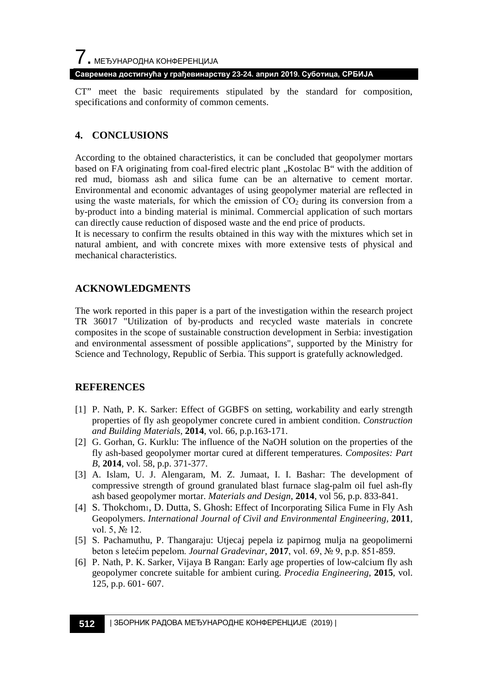### **Савремена достигнућа у грађевинарству 23-24. април 2019. Суботица, СРБИЈА**

CT" meet the basic requirements stipulated by the standard for composition, specifications and conformity of common cements.

### **4. CONCLUSIONS**

According to the obtained characteristics, it can be concluded that geopolymer mortars based on FA originating from coal-fired electric plant . Kostolac B" with the addition of red mud, biomass ash and silica fume can be an alternative to cement mortar. Environmental and economic advantages of using geopolymer material are reflected in using the waste materials, for which the emission of  $CO<sub>2</sub>$  during its conversion from a by-product into a binding material is minimal. Commercial application of such mortars can directly cause reduction of disposed waste and the end price of products.

It is necessary to confirm the results obtained in this way with the mixtures which set in natural ambient, and with concrete mixes with more extensive tests of physical and mechanical characteristics.

### **ACKNOWLEDGMENTS**

The work reported in this paper is a part of the investigation within the research project TR 36017 "Utilization of by-products and recycled waste materials in concrete composites in the scope of sustainable construction development in Serbia: investigation and environmental assessment of possible applications", supported by the Ministry for Science and Technology, Republic of Serbia. This support is gratefully acknowledged.

### **REFERENCES**

- [1] P. Nath, P. K. Sarker: Effect of GGBFS on setting, workability and early strength properties of fly ash geopolymer concrete cured in ambient condition. *Construction and Building Materials*, **2014**, vol. 66, p.p.163-171.
- [2] G. Gorhan, G. Kurklu: The influence of the NaOH solution on the properties of the fly ash-based geopolymer mortar cured at different temperatures. *Composites: Part B*, **2014**, vol. 58, p.p. 371-377.
- [3] A. Islam, U. J. Alengaram, M. Z. Jumaat, I. I. Bashar: The development of compressive strength of ground granulated blast furnace slag-palm oil fuel ash-fly ash based geopolymer mortar. *Materials and Design*, **2014**, vol 56, p.p. 833-841.
- [4] S. Thokchom1, D. Dutta, S. Ghosh: Effect of Incorporating Silica Fume in Fly Ash Geopolymers. *International Journal of Civil and Environmental Engineering,* **2011***,*  vol. 5, № 12.
- [5] S. Pachamuthu, P. Thangaraju: Utjecaj pepela iz papirnog mulja na geopolimerni beton s letećim pepelom. *Journal Gradevinar*, **2017**, vol. 69, № 9, p.p. 851-859.
- [6] P. Nath, P. K. Sarker, Vijaya B Rangan: Early age properties of low-calcium fly ash geopolymer concrete suitable for ambient curing. *Procedia Engineering*, **2015**, vol. 125, p.p. 601- 607.